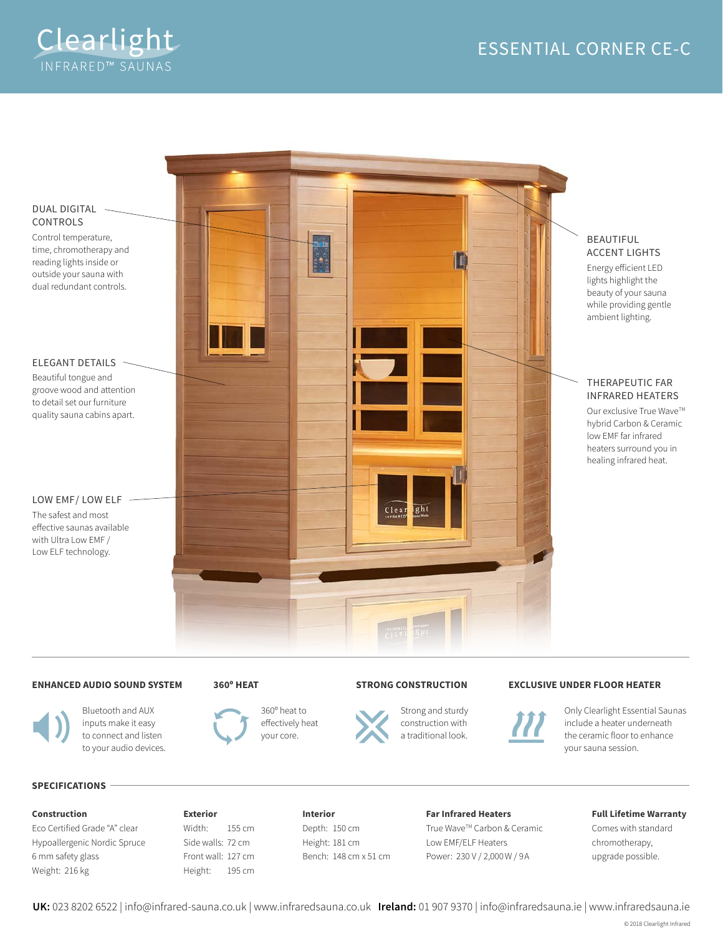

# DUAL DIGITAL CONTROLS

Control temperature, time, chromotherapy and reading lights inside or outside your sauna with dual redundant controls.

### ELEGANT DETAILS

Beautiful tongue and groove wood and attention to detail set our furniture quality sauna cabins apart.

## LOW EMF/ LOW ELF

with Ultra Low EMF /



# BEAUTIFUL ACCENT LIGHTS

Energy eficient LED lights highlight the beauty of your sauna while providing gentle ambient lighting.

### THERAPEUTIC FAR INFRARED HEATERS

Our exclusive True Wave™ hybrid Carbon & Ceramic low EMF far infrared heaters surround you in healing infrared heat.

#### The safest and most

efective saunas available Low ELF technology.

# **ENHANCED AUDIO SOUND SYSTEM**





Bluetooth and AUX inputs make it easy to connect and listen to your audio devices.



360º heat to efectively heat your core.

### **STRONG CONSTRUCTION**



Strong and sturdy construction with a traditional look.

### **EXCLUSIVE UNDER FLOOR HEATER**



Only Clearlight Essential Saunas include a heater underneath the ceramic floor to enhance your sauna session.

#### **SPECIFICATIONS**

#### **Construction**

Eco Certified Grade "A" clear Hypoallergenic Nordic Spruce 6 mm safety glass Weight: 216 kg

# **Exterior** Width: 155 cm Side walls: 72 cm Front wall: 127 cm Height: 195 cm

**Interior** Depth: 150 cm Height: 181 cm Bench: 148 cm x 51 cm

#### **Far Infrared Heaters**

True Wave™ Carbon & Ceramic Low EMF/ELF Heaters Power: 230 V / 2,000 W / 9A

### **Full Lifetime Warranty**

Comes with standard chromotherapy, upgrade possible.

**UK:** 023 8202 6522 | info@infrared-sauna.co.uk | www.infraredsauna.co.uk **Ireland:** 01 907 9370 | info@infraredsauna.ie | www.infraredsauna.ie

© 2018 Clearlight Infrared